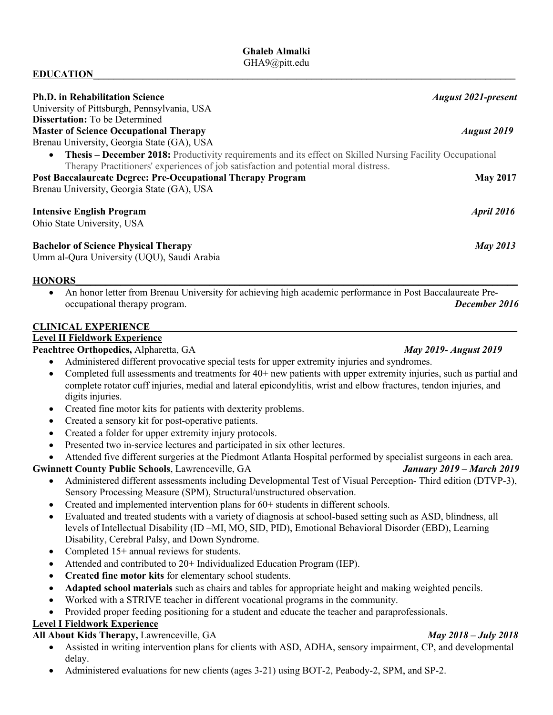## **EDUCATION**

| <b>Ph.D. in Rehabilitation Science</b>                                                                                                                                                                   | <b>August 2021-present</b> |
|----------------------------------------------------------------------------------------------------------------------------------------------------------------------------------------------------------|----------------------------|
| University of Pittsburgh, Pennsylvania, USA                                                                                                                                                              |                            |
| <b>Dissertation:</b> To be Determined                                                                                                                                                                    |                            |
| <b>Master of Science Occupational Therapy</b>                                                                                                                                                            | <b>August</b> 2019         |
| Brenau University, Georgia State (GA), USA                                                                                                                                                               |                            |
| <b>Thesis – December 2018:</b> Productivity requirements and its effect on Skilled Nursing Facility Occupational<br>Therapy Practitioners' experiences of job satisfaction and potential moral distress. |                            |
| <b>Post Baccalaureate Degree: Pre-Occupational Therapy Program</b>                                                                                                                                       | <b>May 2017</b>            |
| Brenau University, Georgia State (GA), USA                                                                                                                                                               |                            |
| <b>Intensive English Program</b>                                                                                                                                                                         | <b>April 2016</b>          |
| Ohio State University, USA                                                                                                                                                                               |                            |
| <b>Bachelor of Science Physical Therapy</b>                                                                                                                                                              | <b>May 2013</b>            |
| Umm al-Qura University (UQU), Saudi Arabia                                                                                                                                                               |                            |

## **HONORS**

• An honor letter from Brenau University for achieving high academic performance in Post Baccalaureate Preoccupational therapy program. *December 2016*

### **CLINICAL EXPERIENCE\_\_\_\_\_\_\_\_\_\_\_\_\_\_\_\_\_\_\_\_\_\_\_\_\_\_\_\_\_\_\_\_\_\_\_\_\_\_\_\_\_\_\_\_\_\_\_\_\_\_\_\_\_\_\_\_\_\_\_\_\_\_\_\_\_\_\_\_\_\_\_\_**\_\_

## **Level II Fieldwork Experience**

### **Peachtree Orthopedics,** Alpharetta, GA*May 2019- August 2019*

- Administered different provocative special tests for upper extremity injuries and syndromes.
- Completed full assessments and treatments for  $40+$  new patients with upper extremity injuries, such as partial and complete rotator cuff injuries, medial and lateral epicondylitis, wrist and elbow fractures, tendon injuries, and digits injuries.
- Created fine motor kits for patients with dexterity problems.
- Created a sensory kit for post-operative patients.
- Created a folder for upper extremity injury protocols.
- Presented two in-service lectures and participated in six other lectures.
- Attended five different surgeries at the Piedmont Atlanta Hospital performed by specialist surgeons in each area.

### **Gwinnett County Public Schools**, Lawrenceville, GA *January 2019 – March 2019*

- Administered different assessments including Developmental Test of Visual Perception- Third edition (DTVP-3), Sensory Processing Measure (SPM), Structural/unstructured observation.
- Created and implemented intervention plans for 60+ students in different schools.
- Evaluated and treated students with a variety of diagnosis at school-based setting such as ASD, blindness, all levels of Intellectual Disability (ID –MI, MO, SID, PID), Emotional Behavioral Disorder (EBD), Learning Disability, Cerebral Palsy, and Down Syndrome.
- Completed 15+ annual reviews for students.
- Attended and contributed to 20+ Individualized Education Program (IEP).
- **Created fine motor kits** for elementary school students.
- **Adapted school materials** such as chairs and tables for appropriate height and making weighted pencils.
- Worked with a STRIVE teacher in different vocational programs in the community.
- Provided proper feeding positioning for a student and educate the teacher and paraprofessionals.

## **Level I Fieldwork Experience**

## **All About Kids Therapy,** Lawrenceville, GA*May 2018 – July 2018*

- Assisted in writing intervention plans for clients with ASD, ADHA, sensory impairment, CP, and developmental delay.
- Administered evaluations for new clients (ages 3-21) using BOT-2, Peabody-2, SPM, and SP-2.